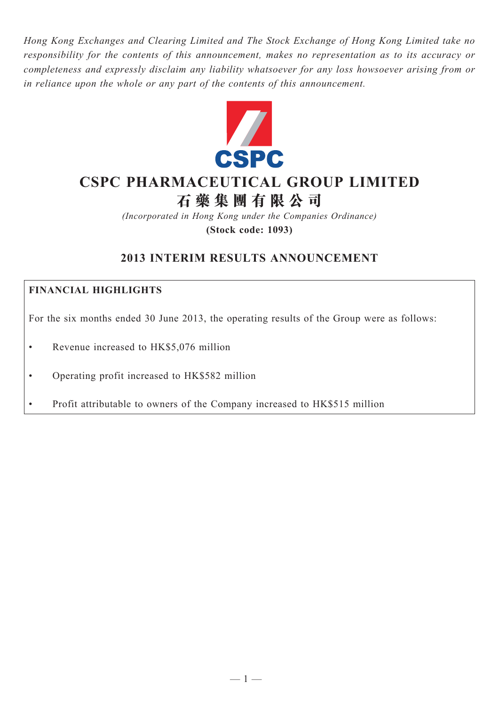*Hong Kong Exchanges and Clearing Limited and The Stock Exchange of Hong Kong Limited take no responsibility for the contents of this announcement, makes no representation as to its accuracy or completeness and expressly disclaim any liability whatsoever for any loss howsoever arising from or in reliance upon the whole or any part of the contents of this announcement.*



# **CSpC pHARMACEUTICAL gROUp LIMITEd**

**石 藥 集 團 有 限 公 司**

*(Incorporated in Hong Kong under the Companies Ordinance)* **(Stock code: 1093)**

# **2013 INTERIM RESULTS ANNOUNCEMENT**

# **Financial Highlights**

For the six months ended 30 June 2013, the operating results of the Group were as follows:

- Revenue increased to HK\$5,076 million
- • Operating profit increased to HK\$582 million
- Profit attributable to owners of the Company increased to HK\$515 million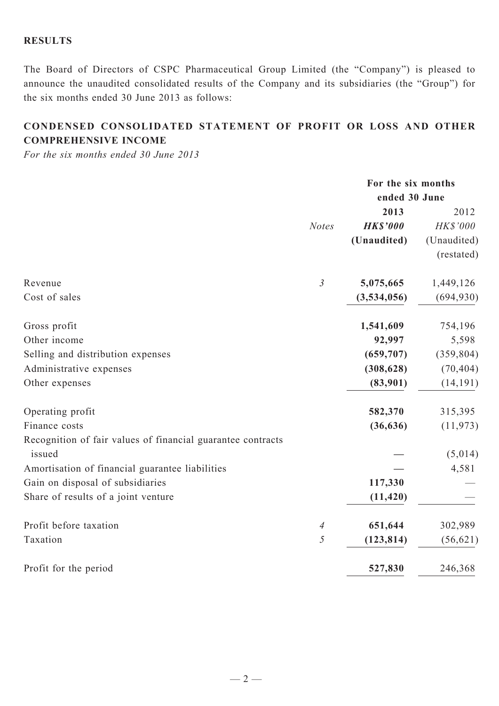# **Results**

The Board of Directors of CSPC Pharmaceutical Group Limited (the "Company") is pleased to announce the unaudited consolidated results of the Company and its subsidiaries (the "Group") for the six months ended 30 June 2013 as follows:

# **Condensed Consolidated Statement of profit or loss and other Comprehensive Income**

*For the six months ended 30 June 2013*

|                                                             |                | For the six months |             |
|-------------------------------------------------------------|----------------|--------------------|-------------|
|                                                             |                | ended 30 June      |             |
|                                                             |                | 2013               | 2012        |
|                                                             | <b>Notes</b>   | <b>HK\$'000</b>    | HK\$'000    |
|                                                             |                | (Unaudited)        | (Unaudited) |
|                                                             |                |                    | (restated)  |
| Revenue                                                     | $\mathfrak{Z}$ | 5,075,665          | 1,449,126   |
| Cost of sales                                               |                | (3,534,056)        | (694, 930)  |
| Gross profit                                                |                | 1,541,609          | 754,196     |
| Other income                                                |                | 92,997             | 5,598       |
| Selling and distribution expenses                           |                | (659, 707)         | (359, 804)  |
| Administrative expenses                                     |                | (308, 628)         | (70, 404)   |
| Other expenses                                              |                | (83,901)           | (14, 191)   |
| Operating profit                                            |                | 582,370            | 315,395     |
| Finance costs                                               |                | (36, 636)          | (11, 973)   |
| Recognition of fair values of financial guarantee contracts |                |                    |             |
| issued                                                      |                |                    | (5,014)     |
| Amortisation of financial guarantee liabilities             |                |                    | 4,581       |
| Gain on disposal of subsidiaries                            |                | 117,330            |             |
| Share of results of a joint venture                         |                | (11, 420)          |             |
| Profit before taxation                                      | $\overline{4}$ | 651,644            | 302,989     |
| Taxation                                                    | 5              | (123, 814)         | (56, 621)   |
| Profit for the period                                       |                | 527,830            | 246,368     |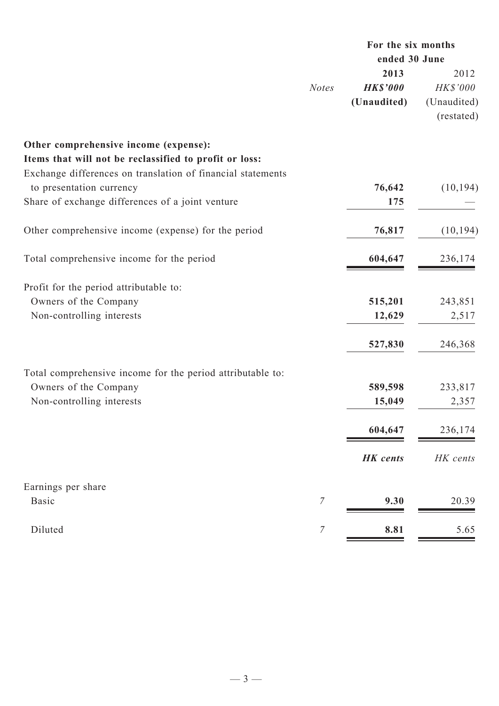|                                                             |                  | For the six months |             |
|-------------------------------------------------------------|------------------|--------------------|-------------|
|                                                             |                  | ended 30 June      |             |
|                                                             |                  | 2013               | 2012        |
|                                                             | <b>Notes</b>     | <b>HK\$'000</b>    | HK\$'000    |
|                                                             |                  | (Unaudited)        | (Unaudited) |
|                                                             |                  |                    | (restated)  |
| Other comprehensive income (expense):                       |                  |                    |             |
| Items that will not be reclassified to profit or loss:      |                  |                    |             |
| Exchange differences on translation of financial statements |                  |                    |             |
| to presentation currency                                    |                  | 76,642             | (10, 194)   |
| Share of exchange differences of a joint venture            |                  | 175                |             |
| Other comprehensive income (expense) for the period         |                  | 76,817             | (10, 194)   |
| Total comprehensive income for the period                   |                  | 604,647            | 236,174     |
| Profit for the period attributable to:                      |                  |                    |             |
| Owners of the Company                                       |                  | 515,201            | 243,851     |
| Non-controlling interests                                   |                  | 12,629             | 2,517       |
|                                                             |                  |                    |             |
|                                                             |                  | 527,830            | 246,368     |
| Total comprehensive income for the period attributable to:  |                  |                    |             |
| Owners of the Company                                       |                  | 589,598            | 233,817     |
| Non-controlling interests                                   |                  | 15,049             | 2,357       |
|                                                             |                  | 604,647            | 236,174     |
|                                                             |                  | <b>HK</b> cents    | HK cents    |
| Earnings per share                                          |                  |                    |             |
| <b>Basic</b>                                                | $\overline{7}$   | 9.30               | 20.39       |
| Diluted                                                     | $\boldsymbol{7}$ | 8.81               | 5.65        |
|                                                             |                  |                    |             |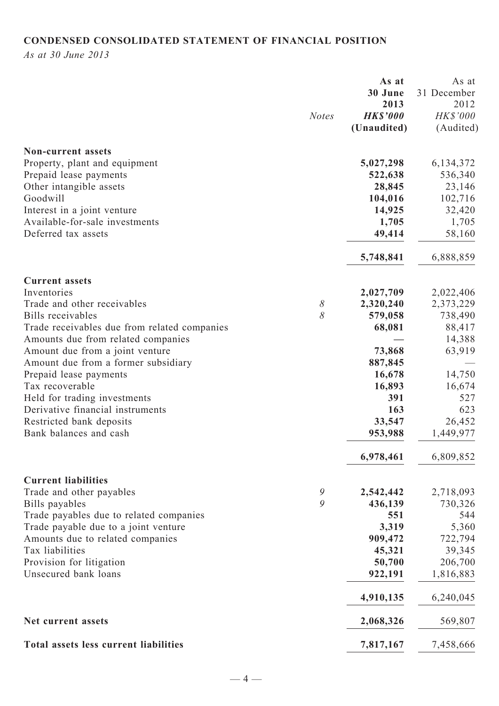# **CONDENSED CONSOLIDATED STATEMENT OF FINANCIAL POSITION**

*As at 30 June 2013*

|                                                   |              | As at           | As at             |
|---------------------------------------------------|--------------|-----------------|-------------------|
|                                                   |              | 30 June         | 31 December       |
|                                                   |              | 2013            | 2012              |
|                                                   | <b>Notes</b> | <b>HK\$'000</b> | HK\$'000          |
|                                                   |              | (Unaudited)     | (Audited)         |
| <b>Non-current assets</b>                         |              |                 |                   |
|                                                   |              | 5,027,298       |                   |
| Property, plant and equipment                     |              | 522,638         | 6, 134, 372       |
| Prepaid lease payments<br>Other intangible assets |              | 28,845          | 536,340<br>23,146 |
| Goodwill                                          |              | 104,016         | 102,716           |
| Interest in a joint venture                       |              | 14,925          | 32,420            |
| Available-for-sale investments                    |              | 1,705           | 1,705             |
| Deferred tax assets                               |              | 49,414          | 58,160            |
|                                                   |              |                 |                   |
|                                                   |              | 5,748,841       | 6,888,859         |
| <b>Current assets</b>                             |              |                 |                   |
| Inventories                                       |              | 2,027,709       | 2,022,406         |
| Trade and other receivables                       | 8            | 2,320,240       | 2,373,229         |
| Bills receivables                                 | 8            | 579,058         | 738,490           |
| Trade receivables due from related companies      |              | 68,081          | 88,417            |
| Amounts due from related companies                |              |                 | 14,388            |
| Amount due from a joint venture                   |              | 73,868          | 63,919            |
| Amount due from a former subsidiary               |              | 887,845         |                   |
| Prepaid lease payments                            |              | 16,678          | 14,750            |
| Tax recoverable                                   |              | 16,893          | 16,674            |
| Held for trading investments                      |              | 391             | 527               |
| Derivative financial instruments                  |              | 163             | 623               |
| Restricted bank deposits                          |              | 33,547          | 26,452            |
| Bank balances and cash                            |              | 953,988         | 1,449,977         |
|                                                   |              | 6,978,461       | 6,809,852         |
| <b>Current liabilities</b>                        |              |                 |                   |
| Trade and other payables                          | 9            | 2,542,442       | 2,718,093         |
| Bills payables                                    | 9            | 436,139         | 730,326           |
| Trade payables due to related companies           |              | 551             | 544               |
| Trade payable due to a joint venture              |              | 3,319           | 5,360             |
| Amounts due to related companies                  |              | 909,472         | 722,794           |
| Tax liabilities                                   |              | 45,321          | 39,345            |
| Provision for litigation                          |              | 50,700          | 206,700           |
| Unsecured bank loans                              |              | 922,191         | 1,816,883         |
|                                                   |              | 4,910,135       | 6,240,045         |
| Net current assets                                |              | 2,068,326       | 569,807           |
| <b>Total assets less current liabilities</b>      |              | 7,817,167       | 7,458,666         |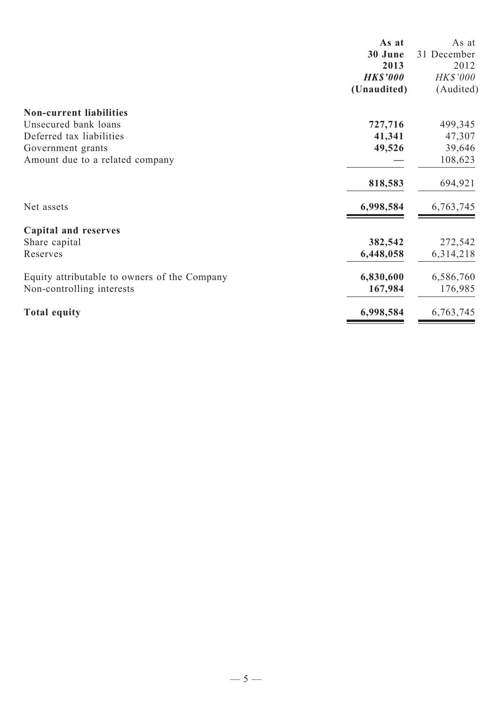| 31 December<br>2012<br><b>HK\$'000</b> |
|----------------------------------------|
|                                        |
|                                        |
|                                        |
| (Audited)                              |
|                                        |
| 499,345                                |
| 47,307                                 |
| 39,646                                 |
| 108,623                                |
| 694,921                                |
| 6,763,745                              |
|                                        |
| 272,542                                |
| 6,314,218                              |
| 6,586,760                              |
| 176,985                                |
| 6,763,745                              |
|                                        |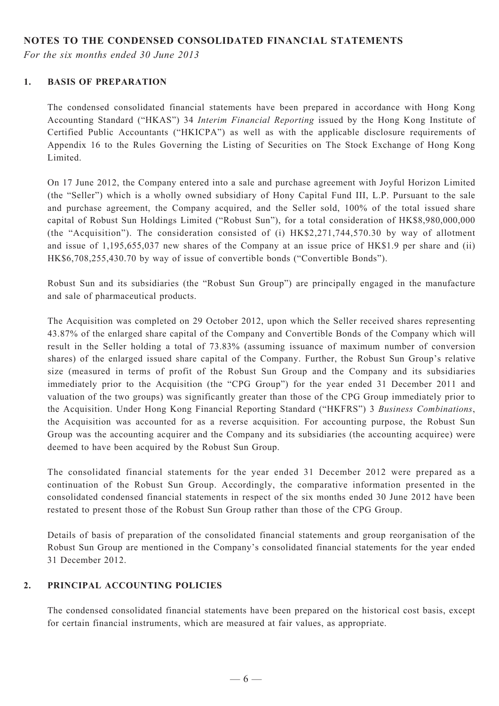# **NOTES TO THE CONDENSED CONSOLIDATED FINANCIAL STATEMENTS**

*For the six months ended 30 June 2013*

#### **1. BASIS OF PREPARATION**

The condensed consolidated financial statements have been prepared in accordance with Hong Kong Accounting Standard ("HKAS") 34 *Interim Financial Reporting* issued by the Hong Kong Institute of Certified Public Accountants ("HKICPA") as well as with the applicable disclosure requirements of Appendix 16 to the Rules Governing the Listing of Securities on The Stock Exchange of Hong Kong Limited.

On 17 June 2012, the Company entered into a sale and purchase agreement with Joyful Horizon Limited (the "Seller") which is a wholly owned subsidiary of Hony Capital Fund III, L.P. Pursuant to the sale and purchase agreement, the Company acquired, and the Seller sold, 100% of the total issued share capital of Robust Sun Holdings Limited ("Robust Sun"), for a total consideration of HK\$8,980,000,000 (the "Acquisition"). The consideration consisted of (i) HK\$2,271,744,570.30 by way of allotment and issue of 1,195,655,037 new shares of the Company at an issue price of HK\$1.9 per share and (ii) HK\$6,708,255,430.70 by way of issue of convertible bonds ("Convertible Bonds").

Robust Sun and its subsidiaries (the "Robust Sun Group") are principally engaged in the manufacture and sale of pharmaceutical products.

The Acquisition was completed on 29 October 2012, upon which the Seller received shares representing 43.87% of the enlarged share capital of the Company and Convertible Bonds of the Company which will result in the Seller holding a total of 73.83% (assuming issuance of maximum number of conversion shares) of the enlarged issued share capital of the Company. Further, the Robust Sun Group's relative size (measured in terms of profit of the Robust Sun Group and the Company and its subsidiaries immediately prior to the Acquisition (the "CPG Group") for the year ended 31 December 2011 and valuation of the two groups) was significantly greater than those of the CPG Group immediately prior to the Acquisition. Under Hong Kong Financial Reporting Standard ("HKFRS") 3 *Business Combinations*, the Acquisition was accounted for as a reverse acquisition. For accounting purpose, the Robust Sun Group was the accounting acquirer and the Company and its subsidiaries (the accounting acquiree) were deemed to have been acquired by the Robust Sun Group.

The consolidated financial statements for the year ended 31 December 2012 were prepared as a continuation of the Robust Sun Group. Accordingly, the comparative information presented in the consolidated condensed financial statements in respect of the six months ended 30 June 2012 have been restated to present those of the Robust Sun Group rather than those of the CPG Group.

Details of basis of preparation of the consolidated financial statements and group reorganisation of the Robust Sun Group are mentioned in the Company's consolidated financial statements for the year ended 31 December 2012.

## **2. PRINCIPAL ACCOUNTING POLICIES**

The condensed consolidated financial statements have been prepared on the historical cost basis, except for certain financial instruments, which are measured at fair values, as appropriate.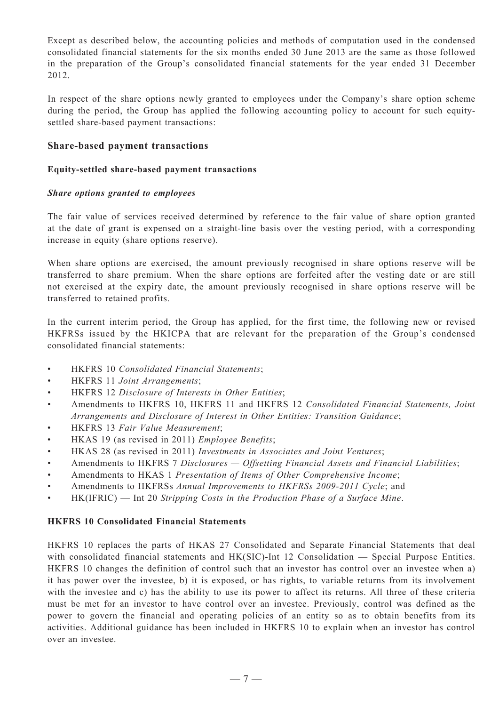Except as described below, the accounting policies and methods of computation used in the condensed consolidated financial statements for the six months ended 30 June 2013 are the same as those followed in the preparation of the Group's consolidated financial statements for the year ended 31 December 2012.

In respect of the share options newly granted to employees under the Company's share option scheme during the period, the Group has applied the following accounting policy to account for such equitysettled share-based payment transactions:

#### **Share-based payment transactions**

#### **Equity-settled share-based payment transactions**

#### *Share options granted to employees*

The fair value of services received determined by reference to the fair value of share option granted at the date of grant is expensed on a straight-line basis over the vesting period, with a corresponding increase in equity (share options reserve).

When share options are exercised, the amount previously recognised in share options reserve will be transferred to share premium. When the share options are forfeited after the vesting date or are still not exercised at the expiry date, the amount previously recognised in share options reserve will be transferred to retained profits.

In the current interim period, the Group has applied, for the first time, the following new or revised HKFRSs issued by the HKICPA that are relevant for the preparation of the Group's condensed consolidated financial statements:

- • HKFRS 10 *Consolidated Financial Statements*;
- • HKFRS 11 *Joint Arrangements*;
- • HKFRS 12 *Disclosure of Interests in Other Entities*;
- • Amendments to HKFRS 10, HKFRS 11 and HKFRS 12 *Consolidated Financial Statements, Joint Arrangements and Disclosure of Interest in Other Entities: Transition Guidance*;
- • HKFRS 13 *Fair Value Measurement*;
- • HKAS 19 (as revised in 2011) *Employee Benefits*;
- • HKAS 28 (as revised in 2011) *Investments in Associates and Joint Ventures*;
- • Amendments to HKFRS 7 *Disclosures Offsetting Financial Assets and Financial Liabilities*;
- • Amendments to HKAS 1 *Presentation of Items of Other Comprehensive Income*;
- • Amendments to HKFRSs *Annual Improvements to HKFRSs 2009-2011 Cycle*; and
- • HK(IFRIC) Int 20 *Stripping Costs in the Production Phase of a Surface Mine*.

#### **HKFRS 10 Consolidated Financial Statements**

HKFRS 10 replaces the parts of HKAS 27 Consolidated and Separate Financial Statements that deal with consolidated financial statements and HK(SIC)-Int 12 Consolidation — Special Purpose Entities. HKFRS 10 changes the definition of control such that an investor has control over an investee when a) it has power over the investee, b) it is exposed, or has rights, to variable returns from its involvement with the investee and c) has the ability to use its power to affect its returns. All three of these criteria must be met for an investor to have control over an investee. Previously, control was defined as the power to govern the financial and operating policies of an entity so as to obtain benefits from its activities. Additional guidance has been included in HKFRS 10 to explain when an investor has control over an investee.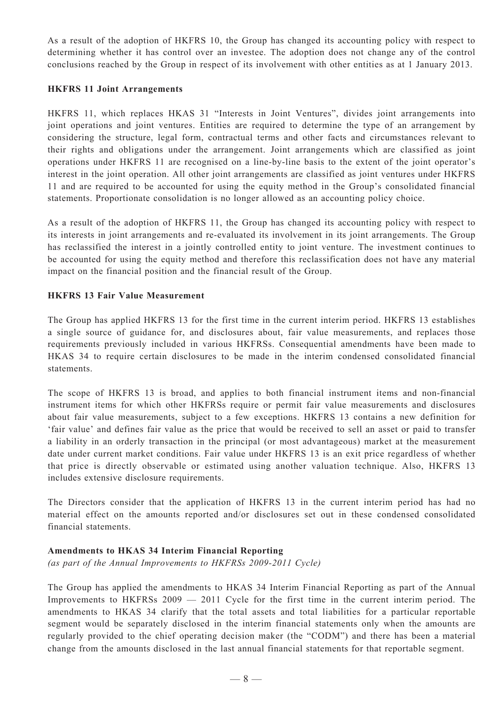As a result of the adoption of HKFRS 10, the Group has changed its accounting policy with respect to determining whether it has control over an investee. The adoption does not change any of the control conclusions reached by the Group in respect of its involvement with other entities as at 1 January 2013.

#### **HKFRS 11 Joint Arrangements**

HKFRS 11, which replaces HKAS 31 "Interests in Joint Ventures", divides joint arrangements into joint operations and joint ventures. Entities are required to determine the type of an arrangement by considering the structure, legal form, contractual terms and other facts and circumstances relevant to their rights and obligations under the arrangement. Joint arrangements which are classified as joint operations under HKFRS 11 are recognised on a line-by-line basis to the extent of the joint operator's interest in the joint operation. All other joint arrangements are classified as joint ventures under HKFRS 11 and are required to be accounted for using the equity method in the Group's consolidated financial statements. Proportionate consolidation is no longer allowed as an accounting policy choice.

As a result of the adoption of HKFRS 11, the Group has changed its accounting policy with respect to its interests in joint arrangements and re-evaluated its involvement in its joint arrangements. The Group has reclassified the interest in a jointly controlled entity to joint venture. The investment continues to be accounted for using the equity method and therefore this reclassification does not have any material impact on the financial position and the financial result of the Group.

#### **HKFRS 13 Fair Value Measurement**

The Group has applied HKFRS 13 for the first time in the current interim period. HKFRS 13 establishes a single source of guidance for, and disclosures about, fair value measurements, and replaces those requirements previously included in various HKFRSs. Consequential amendments have been made to HKAS 34 to require certain disclosures to be made in the interim condensed consolidated financial statements.

The scope of HKFRS 13 is broad, and applies to both financial instrument items and non-financial instrument items for which other HKFRSs require or permit fair value measurements and disclosures about fair value measurements, subject to a few exceptions. HKFRS 13 contains a new definition for 'fair value' and defines fair value as the price that would be received to sell an asset or paid to transfer a liability in an orderly transaction in the principal (or most advantageous) market at the measurement date under current market conditions. Fair value under HKFRS 13 is an exit price regardless of whether that price is directly observable or estimated using another valuation technique. Also, HKFRS 13 includes extensive disclosure requirements.

The Directors consider that the application of HKFRS 13 in the current interim period has had no material effect on the amounts reported and/or disclosures set out in these condensed consolidated financial statements.

#### **Amendments to HKAS 34 Interim Financial Reporting**

*(as part of the Annual Improvements to HKFRSs 2009-2011 Cycle)*

The Group has applied the amendments to HKAS 34 Interim Financial Reporting as part of the Annual Improvements to HKFRSs 2009 — 2011 Cycle for the first time in the current interim period. The amendments to HKAS 34 clarify that the total assets and total liabilities for a particular reportable segment would be separately disclosed in the interim financial statements only when the amounts are regularly provided to the chief operating decision maker (the "CODM") and there has been a material change from the amounts disclosed in the last annual financial statements for that reportable segment.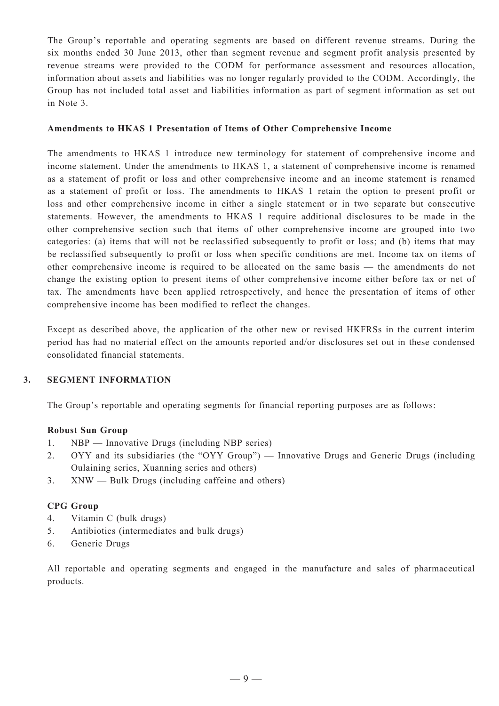The Group's reportable and operating segments are based on different revenue streams. During the six months ended 30 June 2013, other than segment revenue and segment profit analysis presented by revenue streams were provided to the CODM for performance assessment and resources allocation, information about assets and liabilities was no longer regularly provided to the CODM. Accordingly, the Group has not included total asset and liabilities information as part of segment information as set out in Note 3.

#### **Amendments to HKAS 1 Presentation of Items of Other Comprehensive Income**

The amendments to HKAS 1 introduce new terminology for statement of comprehensive income and income statement. Under the amendments to HKAS 1, a statement of comprehensive income is renamed as a statement of profit or loss and other comprehensive income and an income statement is renamed as a statement of profit or loss. The amendments to HKAS 1 retain the option to present profit or loss and other comprehensive income in either a single statement or in two separate but consecutive statements. However, the amendments to HKAS 1 require additional disclosures to be made in the other comprehensive section such that items of other comprehensive income are grouped into two categories: (a) items that will not be reclassified subsequently to profit or loss; and (b) items that may be reclassified subsequently to profit or loss when specific conditions are met. Income tax on items of other comprehensive income is required to be allocated on the same basis — the amendments do not change the existing option to present items of other comprehensive income either before tax or net of tax. The amendments have been applied retrospectively, and hence the presentation of items of other comprehensive income has been modified to reflect the changes.

Except as described above, the application of the other new or revised HKFRSs in the current interim period has had no material effect on the amounts reported and/or disclosures set out in these condensed consolidated financial statements.

#### **3. SEGMENT INFORMATION**

The Group's reportable and operating segments for financial reporting purposes are as follows:

#### **Robust Sun Group**

- 1. NBP Innovative Drugs (including NBP series)
- 2. OYY and its subsidiaries (the "OYY Group") Innovative Drugs and Generic Drugs (including Oulaining series, Xuanning series and others)
- 3. XNW Bulk Drugs (including caffeine and others)

#### **CPG Group**

- 4. Vitamin C (bulk drugs)
- 5. Antibiotics (intermediates and bulk drugs)
- 6. Generic Drugs

All reportable and operating segments and engaged in the manufacture and sales of pharmaceutical products.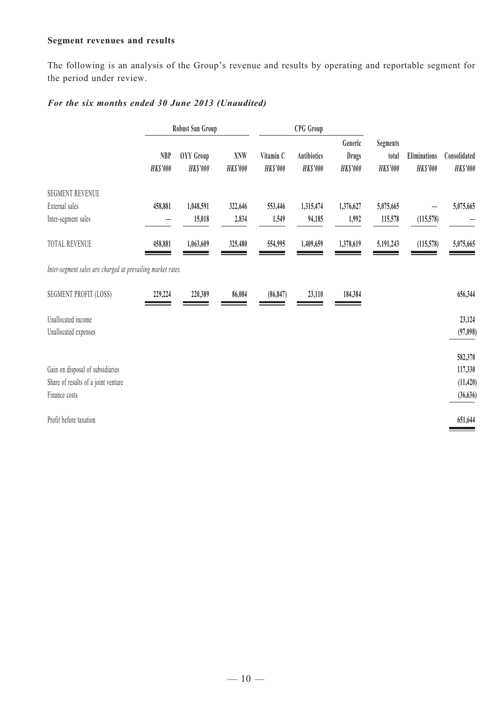## **Segment revenues and results**

The following is an analysis of the Group's revenue and results by operating and reportable segment for the period under review.

# *For the six months ended 30 June 2013 (Unaudited)*

|                                                             |                               | <b>Robust Sun Group</b>      |                               |                              | <b>CPG</b> Group                      |                                            |                                             |                                 |                                 |
|-------------------------------------------------------------|-------------------------------|------------------------------|-------------------------------|------------------------------|---------------------------------------|--------------------------------------------|---------------------------------------------|---------------------------------|---------------------------------|
|                                                             | <b>NBP</b><br><b>HK\$'000</b> | OYY Group<br><b>HK\$'000</b> | <b>XNW</b><br><b>HK\$'000</b> | Vitamin C<br><b>HK\$'000</b> | <b>Antibiotics</b><br><b>HK\$'000</b> | Generic<br><b>Drugs</b><br><b>HK\$'000</b> | <b>Segments</b><br>total<br><b>HK\$'000</b> | Eliminations<br><b>HK\$'000</b> | Consolidated<br><b>HK\$'000</b> |
| <b>SEGMENT REVENUE</b>                                      |                               |                              |                               |                              |                                       |                                            |                                             |                                 |                                 |
| External sales                                              | 458,881                       | 1,048,591                    | 322,646                       | 553,446                      | 1,315,474                             | 1,376,627                                  | 5,075,665                                   |                                 | 5,075,665                       |
| Inter-segment sales                                         |                               | 15,018                       | 2,834                         | 1,549                        | 94,185                                | 1,992                                      | 115,578                                     | (115,578)                       |                                 |
| TOTAL REVENUE                                               | 458,881                       | 1,063,609                    | 325,480                       | 554,995                      | 1,409,659                             | 1,378,619                                  | 5,191,243                                   | (115,578)                       | 5,075,665                       |
| Inter-segment sales are charged at prevailing market rates. |                               |                              |                               |                              |                                       |                                            |                                             |                                 |                                 |
| <b>SEGMENT PROFIT (LOSS)</b>                                | 229,224                       | 220,389                      | 86,084                        | (86, 847)                    | 23,110                                | 184,384                                    |                                             |                                 | 656,344                         |
| Unallocated income                                          |                               |                              |                               |                              |                                       |                                            |                                             |                                 | 23,124                          |
| Unallocated expenses                                        |                               |                              |                               |                              |                                       |                                            |                                             |                                 | (97, 098)                       |
|                                                             |                               |                              |                               |                              |                                       |                                            |                                             |                                 | 582,370                         |
| Gain on disposal of subsidiaries                            |                               |                              |                               |                              |                                       |                                            |                                             |                                 | 117,330                         |
| Share of results of a joint venture                         |                               |                              |                               |                              |                                       |                                            |                                             |                                 | (11, 420)                       |
| Finance costs                                               |                               |                              |                               |                              |                                       |                                            |                                             |                                 | (36, 636)                       |
| Profit before taxation                                      |                               |                              |                               |                              |                                       |                                            |                                             |                                 | 651,644                         |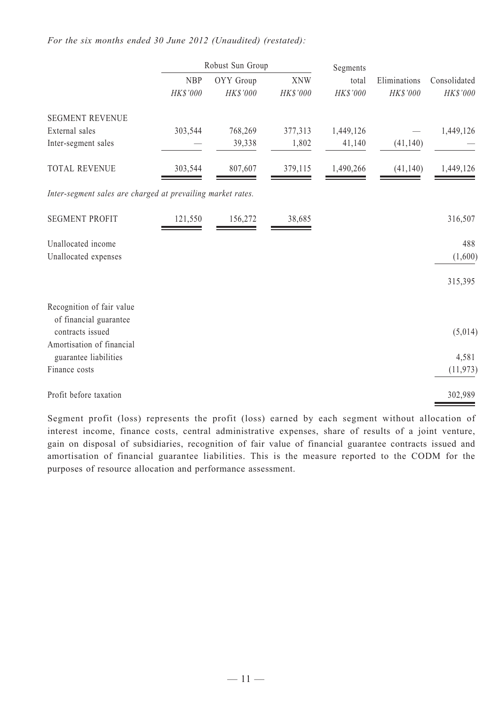#### *For the six months ended 30 June 2012 (Unaudited) (restated):*

|                                                             | Robust Sun Group       |                       | Segments               |                   |                          |                          |
|-------------------------------------------------------------|------------------------|-----------------------|------------------------|-------------------|--------------------------|--------------------------|
|                                                             | <b>NBP</b><br>HK\$'000 | OYY Group<br>HK\$'000 | <b>XNW</b><br>HK\$'000 | total<br>HK\$'000 | Eliminations<br>HK\$'000 | Consolidated<br>HK\$'000 |
| <b>SEGMENT REVENUE</b>                                      |                        |                       |                        |                   |                          |                          |
| External sales                                              | 303,544                | 768,269               | 377,313                | 1,449,126         |                          | 1,449,126                |
| Inter-segment sales                                         |                        | 39,338                | 1,802                  | 41,140            | (41, 140)                |                          |
| <b>TOTAL REVENUE</b>                                        | 303,544                | 807,607               | 379,115                | 1,490,266         | (41, 140)                | 1,449,126                |
| Inter-segment sales are charged at prevailing market rates. |                        |                       |                        |                   |                          |                          |
| <b>SEGMENT PROFIT</b>                                       | 121,550                | 156,272               | 38,685                 |                   |                          | 316,507                  |
| Unallocated income                                          |                        |                       |                        |                   |                          | 488                      |
| Unallocated expenses                                        |                        |                       |                        |                   |                          | (1,600)                  |
|                                                             |                        |                       |                        |                   |                          | 315,395                  |
| Recognition of fair value                                   |                        |                       |                        |                   |                          |                          |
| of financial guarantee<br>contracts issued                  |                        |                       |                        |                   |                          | (5,014)                  |
| Amortisation of financial                                   |                        |                       |                        |                   |                          |                          |
| guarantee liabilities                                       |                        |                       |                        |                   |                          | 4,581                    |
| Finance costs                                               |                        |                       |                        |                   |                          | (11, 973)                |
| Profit before taxation                                      |                        |                       |                        |                   |                          | 302,989                  |

Segment profit (loss) represents the profit (loss) earned by each segment without allocation of interest income, finance costs, central administrative expenses, share of results of a joint venture, gain on disposal of subsidiaries, recognition of fair value of financial guarantee contracts issued and amortisation of financial guarantee liabilities. This is the measure reported to the CODM for the purposes of resource allocation and performance assessment.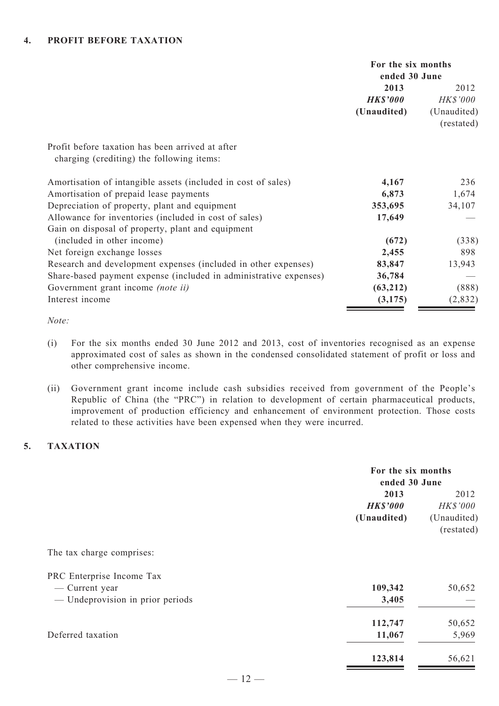|                                                                   | For the six months<br>ended 30 June |                 |
|-------------------------------------------------------------------|-------------------------------------|-----------------|
|                                                                   | 2013                                | 2012            |
|                                                                   | <b>HK\$'000</b>                     | <b>HK\$'000</b> |
|                                                                   | (Unaudited)                         | (Unaudited)     |
|                                                                   |                                     | (restated)      |
| Profit before taxation has been arrived at after                  |                                     |                 |
| charging (crediting) the following items:                         |                                     |                 |
| Amortisation of intangible assets (included in cost of sales)     | 4,167                               | 236             |
| Amortisation of prepaid lease payments                            | 6,873                               | 1,674           |
| Depreciation of property, plant and equipment                     | 353,695                             | 34,107          |
| Allowance for inventories (included in cost of sales)             | 17,649                              |                 |
| Gain on disposal of property, plant and equipment                 |                                     |                 |
| (included in other income)                                        | (672)                               | (338)           |
| Net foreign exchange losses                                       | 2,455                               | 898             |
| Research and development expenses (included in other expenses)    | 83,847                              | 13,943          |
| Share-based payment expense (included in administrative expenses) | 36,784                              |                 |
| Government grant income (note ii)                                 | (63,212)                            | (888)           |
| Interest income                                                   | (3, 175)                            | (2,832)         |

#### *Note:*

- (i) For the six months ended 30 June 2012 and 2013, cost of inventories recognised as an expense approximated cost of sales as shown in the condensed consolidated statement of profit or loss and other comprehensive income.
- (ii) Government grant income include cash subsidies received from government of the People's Republic of China (the "PRC") in relation to development of certain pharmaceutical products, improvement of production efficiency and enhancement of environment protection. Those costs related to these activities have been expensed when they were incurred.

# **5. TAXATION**

| For the six months                            |
|-----------------------------------------------|
| 2012<br>HK\$'000<br>(Unaudited)<br>(restated) |
|                                               |
|                                               |
| 50,652                                        |
|                                               |
| 50,652                                        |
| 5,969                                         |
| 56,621                                        |
|                                               |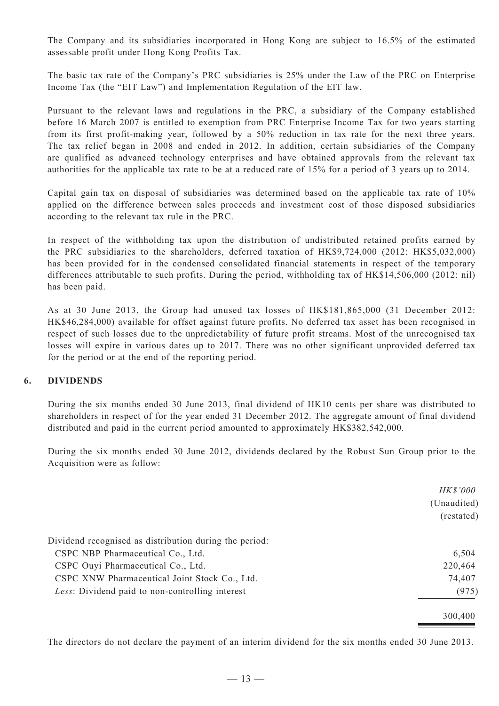The Company and its subsidiaries incorporated in Hong Kong are subject to 16.5% of the estimated assessable profit under Hong Kong Profits Tax.

The basic tax rate of the Company's PRC subsidiaries is 25% under the Law of the PRC on Enterprise Income Tax (the "EIT Law") and Implementation Regulation of the EIT law.

Pursuant to the relevant laws and regulations in the PRC, a subsidiary of the Company established before 16 March 2007 is entitled to exemption from PRC Enterprise Income Tax for two years starting from its first profit-making year, followed by a 50% reduction in tax rate for the next three years. The tax relief began in 2008 and ended in 2012. In addition, certain subsidiaries of the Company are qualified as advanced technology enterprises and have obtained approvals from the relevant tax authorities for the applicable tax rate to be at a reduced rate of 15% for a period of 3 years up to 2014.

Capital gain tax on disposal of subsidiaries was determined based on the applicable tax rate of 10% applied on the difference between sales proceeds and investment cost of those disposed subsidiaries according to the relevant tax rule in the PRC.

In respect of the withholding tax upon the distribution of undistributed retained profits earned by the PRC subsidiaries to the shareholders, deferred taxation of HK\$9,724,000 (2012: HK\$5,032,000) has been provided for in the condensed consolidated financial statements in respect of the temporary differences attributable to such profits. During the period, withholding tax of HK\$14,506,000 (2012: nil) has been paid.

As at 30 June 2013, the Group had unused tax losses of HK\$181,865,000 (31 December 2012: HK\$46,284,000) available for offset against future profits. No deferred tax asset has been recognised in respect of such losses due to the unpredictability of future profit streams. Most of the unrecognised tax losses will expire in various dates up to 2017. There was no other significant unprovided deferred tax for the period or at the end of the reporting period.

#### **6. DIVIDENDS**

During the six months ended 30 June 2013, final dividend of HK10 cents per share was distributed to shareholders in respect of for the year ended 31 December 2012. The aggregate amount of final dividend distributed and paid in the current period amounted to approximately HK\$382,542,000.

During the six months ended 30 June 2012, dividends declared by the Robust Sun Group prior to the Acquisition were as follow:

|                                                        | HK\$'000    |
|--------------------------------------------------------|-------------|
|                                                        | (Unaudited) |
|                                                        | (restated)  |
| Dividend recognised as distribution during the period: |             |
| CSPC NBP Pharmaceutical Co., Ltd.                      | 6,504       |
| CSPC Ouyi Pharmaceutical Co., Ltd.                     | 220,464     |
| CSPC XNW Pharmaceutical Joint Stock Co., Ltd.          | 74,407      |
| Less: Dividend paid to non-controlling interest        | (975)       |
|                                                        | 300,400     |

The directors do not declare the payment of an interim dividend for the six months ended 30 June 2013.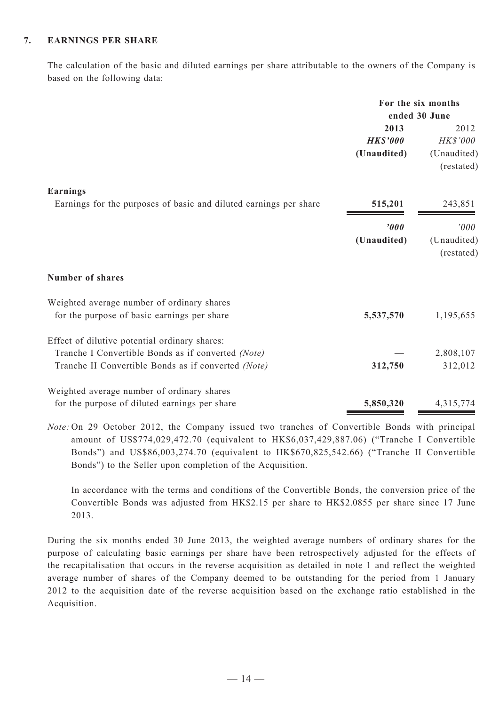#### **7. EARNINGS PER SHARE**

The calculation of the basic and diluted earnings per share attributable to the owners of the Company is based on the following data:

|                                                                                                     | For the six months<br>ended 30 June |                                       |
|-----------------------------------------------------------------------------------------------------|-------------------------------------|---------------------------------------|
|                                                                                                     | 2013                                | 2012                                  |
|                                                                                                     | <b>HK\$'000</b><br>(Unaudited)      | HK\$'000<br>(Unaudited)<br>(restated) |
| <b>Earnings</b><br>Earnings for the purposes of basic and diluted earnings per share                | 515,201                             | 243,851                               |
|                                                                                                     | '000                                |                                       |
|                                                                                                     | (Unaudited)                         | '000<br>(Unaudited)<br>(restated)     |
| <b>Number of shares</b>                                                                             |                                     |                                       |
| Weighted average number of ordinary shares<br>for the purpose of basic earnings per share           | 5,537,570                           | 1,195,655                             |
| Effect of dilutive potential ordinary shares:<br>Tranche I Convertible Bonds as if converted (Note) |                                     | 2,808,107                             |
| Tranche II Convertible Bonds as if converted (Note)                                                 | 312,750                             | 312,012                               |
| Weighted average number of ordinary shares                                                          |                                     |                                       |
| for the purpose of diluted earnings per share                                                       | 5,850,320                           | 4,315,774                             |

*Note:* On 29 October 2012, the Company issued two tranches of Convertible Bonds with principal amount of US\$774,029,472.70 (equivalent to HK\$6,037,429,887.06) ("Tranche I Convertible Bonds") and US\$86,003,274.70 (equivalent to HK\$670,825,542.66) ("Tranche II Convertible Bonds") to the Seller upon completion of the Acquisition.

In accordance with the terms and conditions of the Convertible Bonds, the conversion price of the Convertible Bonds was adjusted from HK\$2.15 per share to HK\$2.0855 per share since 17 June 2013.

During the six months ended 30 June 2013, the weighted average numbers of ordinary shares for the purpose of calculating basic earnings per share have been retrospectively adjusted for the effects of the recapitalisation that occurs in the reverse acquisition as detailed in note 1 and reflect the weighted average number of shares of the Company deemed to be outstanding for the period from 1 January 2012 to the acquisition date of the reverse acquisition based on the exchange ratio established in the Acquisition.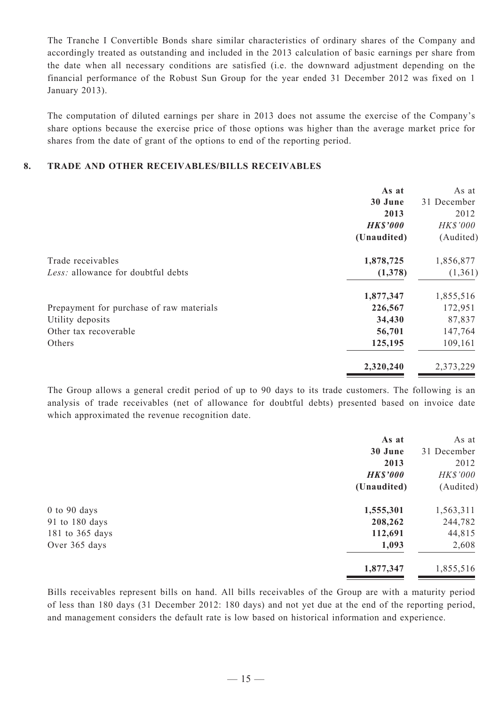The Tranche I Convertible Bonds share similar characteristics of ordinary shares of the Company and accordingly treated as outstanding and included in the 2013 calculation of basic earnings per share from the date when all necessary conditions are satisfied (i.e. the downward adjustment depending on the financial performance of the Robust Sun Group for the year ended 31 December 2012 was fixed on 1 January 2013).

The computation of diluted earnings per share in 2013 does not assume the exercise of the Company's share options because the exercise price of those options was higher than the average market price for shares from the date of grant of the options to end of the reporting period.

#### **8. TRADE AND OTHER RECEIVABLES/BILLS RECEIVABLES**

|                                          | As at           | As at       |
|------------------------------------------|-----------------|-------------|
|                                          | 30 June         | 31 December |
|                                          | 2013            | 2012        |
|                                          | <b>HK\$'000</b> | HK\$'000    |
|                                          | (Unaudited)     | (Audited)   |
| Trade receivables                        | 1,878,725       | 1,856,877   |
| Less: allowance for doubtful debts       | (1,378)         | (1,361)     |
|                                          | 1,877,347       | 1,855,516   |
| Prepayment for purchase of raw materials | 226,567         | 172,951     |
| Utility deposits                         | 34,430          | 87,837      |
| Other tax recoverable                    | 56,701          | 147,764     |
| Others                                   | 125,195         | 109,161     |
|                                          | 2,320,240       | 2,373,229   |

The Group allows a general credit period of up to 90 days to its trade customers. The following is an analysis of trade receivables (net of allowance for doubtful debts) presented based on invoice date which approximated the revenue recognition date.

|                  | As at           | As at       |
|------------------|-----------------|-------------|
|                  | 30 June         | 31 December |
|                  | 2013            | 2012        |
|                  | <b>HK\$'000</b> | HK\$'000    |
|                  | (Unaudited)     | (Audited)   |
| $0$ to $90$ days | 1,555,301       | 1,563,311   |
| 91 to 180 days   | 208,262         | 244,782     |
| 181 to 365 days  | 112,691         | 44,815      |
| Over 365 days    | 1,093           | 2,608       |
|                  | 1,877,347       | 1,855,516   |
|                  |                 |             |

Bills receivables represent bills on hand. All bills receivables of the Group are with a maturity period of less than 180 days (31 December 2012: 180 days) and not yet due at the end of the reporting period, and management considers the default rate is low based on historical information and experience.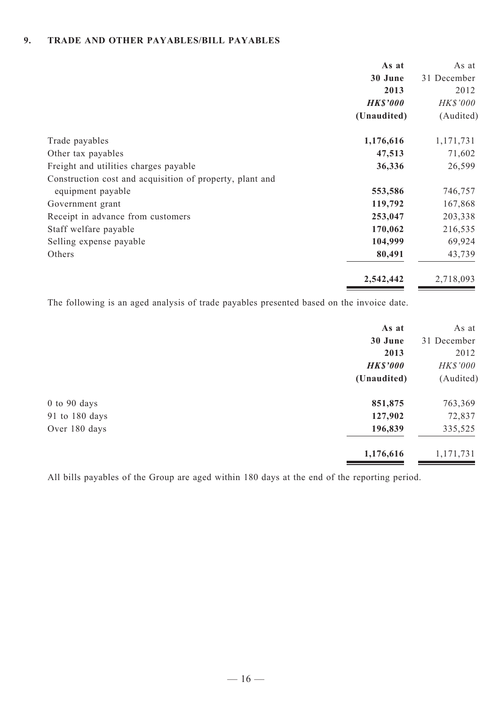#### **9. TRADE AND OTHER PAYABLES/BILL PAYABLES**

|                                                          | As at           | As at       |
|----------------------------------------------------------|-----------------|-------------|
|                                                          | 30 June         | 31 December |
|                                                          | 2013            | 2012        |
|                                                          | <b>HK\$'000</b> | HK\$'000    |
|                                                          | (Unaudited)     | (Audited)   |
| Trade payables                                           | 1,176,616       | 1,171,731   |
| Other tax payables                                       | 47,513          | 71,602      |
| Freight and utilities charges payable                    | 36,336          | 26,599      |
| Construction cost and acquisition of property, plant and |                 |             |
| equipment payable                                        | 553,586         | 746,757     |
| Government grant                                         | 119,792         | 167,868     |
| Receipt in advance from customers                        | 253,047         | 203,338     |
| Staff welfare payable                                    | 170,062         | 216,535     |
| Selling expense payable                                  | 104,999         | 69,924      |
| Others                                                   | 80,491          | 43,739      |
|                                                          | 2,542,442       | 2,718,093   |

The following is an aged analysis of trade payables presented based on the invoice date.

| As at           | As at       |
|-----------------|-------------|
| 30 June         | 31 December |
| 2013            | 2012        |
| <b>HK\$'000</b> | HK\$'000    |
| (Unaudited)     | (Audited)   |
| 851,875         | 763,369     |
| 127,902         | 72,837      |
| 196,839         | 335,525     |
| 1,176,616       | 1,171,731   |
|                 |             |

All bills payables of the Group are aged within 180 days at the end of the reporting period.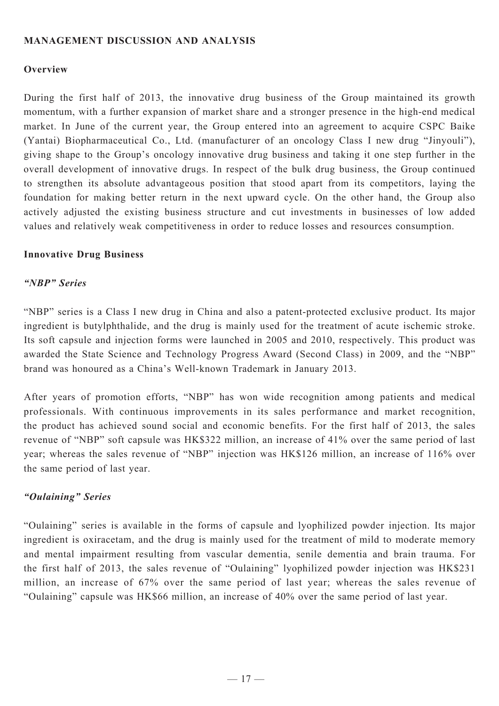# **Management Discussion and Analysis**

# **Overview**

During the first half of 2013, the innovative drug business of the Group maintained its growth momentum, with a further expansion of market share and a stronger presence in the high-end medical market. In June of the current year, the Group entered into an agreement to acquire CSPC Baike (Yantai) Biopharmaceutical Co., Ltd. (manufacturer of an oncology Class I new drug "Jinyouli"), giving shape to the Group's oncology innovative drug business and taking it one step further in the overall development of innovative drugs. In respect of the bulk drug business, the Group continued to strengthen its absolute advantageous position that stood apart from its competitors, laying the foundation for making better return in the next upward cycle. On the other hand, the Group also actively adjusted the existing business structure and cut investments in businesses of low added values and relatively weak competitiveness in order to reduce losses and resources consumption.

#### **Innovative Drug Business**

#### *"NBP" Series*

"NBP" series is a Class I new drug in China and also a patent-protected exclusive product. Its major ingredient is butylphthalide, and the drug is mainly used for the treatment of acute ischemic stroke. Its soft capsule and injection forms were launched in 2005 and 2010, respectively. This product was awarded the State Science and Technology Progress Award (Second Class) in 2009, and the "NBP" brand was honoured as a China's Well-known Trademark in January 2013.

After years of promotion efforts, "NBP" has won wide recognition among patients and medical professionals. With continuous improvements in its sales performance and market recognition, the product has achieved sound social and economic benefits. For the first half of 2013, the sales revenue of "NBP" soft capsule was HK\$322 million, an increase of 41% over the same period of last year; whereas the sales revenue of "NBP" injection was HK\$126 million, an increase of 116% over the same period of last year.

# *"Oulaining" Series*

"Oulaining" series is available in the forms of capsule and lyophilized powder injection. Its major ingredient is oxiracetam, and the drug is mainly used for the treatment of mild to moderate memory and mental impairment resulting from vascular dementia, senile dementia and brain trauma. For the first half of 2013, the sales revenue of "Oulaining" lyophilized powder injection was HK\$231 million, an increase of 67% over the same period of last year; whereas the sales revenue of "Oulaining" capsule was HK\$66 million, an increase of 40% over the same period of last year.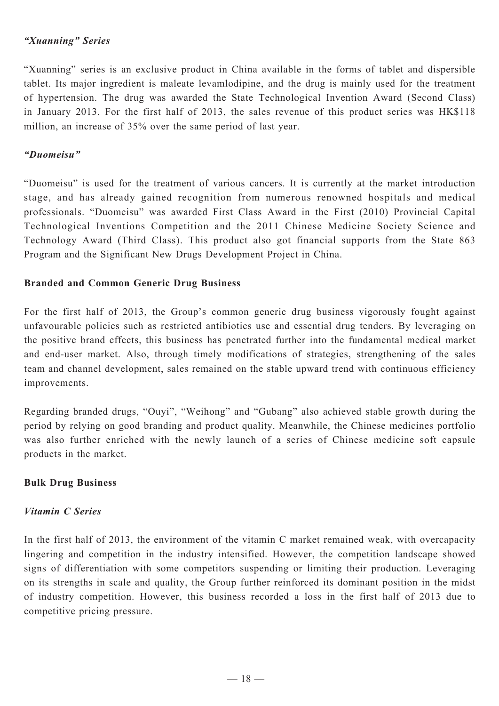# *"Xuanning" Series*

"Xuanning" series is an exclusive product in China available in the forms of tablet and dispersible tablet. Its major ingredient is maleate levamlodipine, and the drug is mainly used for the treatment of hypertension. The drug was awarded the State Technological Invention Award (Second Class) in January 2013. For the first half of 2013, the sales revenue of this product series was HK\$118 million, an increase of 35% over the same period of last year.

# *"Duomeisu"*

"Duomeisu" is used for the treatment of various cancers. It is currently at the market introduction stage, and has already gained recognition from numerous renowned hospitals and medical professionals. "Duomeisu" was awarded First Class Award in the First (2010) Provincial Capital Technological Inventions Competition and the 2011 Chinese Medicine Society Science and Technology Award (Third Class). This product also got financial supports from the State 863 Program and the Significant New Drugs Development Project in China.

# **Branded and Common Generic Drug Business**

For the first half of 2013, the Group's common generic drug business vigorously fought against unfavourable policies such as restricted antibiotics use and essential drug tenders. By leveraging on the positive brand effects, this business has penetrated further into the fundamental medical market and end-user market. Also, through timely modifications of strategies, strengthening of the sales team and channel development, sales remained on the stable upward trend with continuous efficiency improvements.

Regarding branded drugs, "Ouyi", "Weihong" and "Gubang" also achieved stable growth during the period by relying on good branding and product quality. Meanwhile, the Chinese medicines portfolio was also further enriched with the newly launch of a series of Chinese medicine soft capsule products in the market.

# **Bulk Drug Business**

# *Vitamin C Series*

In the first half of 2013, the environment of the vitamin C market remained weak, with overcapacity lingering and competition in the industry intensified. However, the competition landscape showed signs of differentiation with some competitors suspending or limiting their production. Leveraging on its strengths in scale and quality, the Group further reinforced its dominant position in the midst of industry competition. However, this business recorded a loss in the first half of 2013 due to competitive pricing pressure.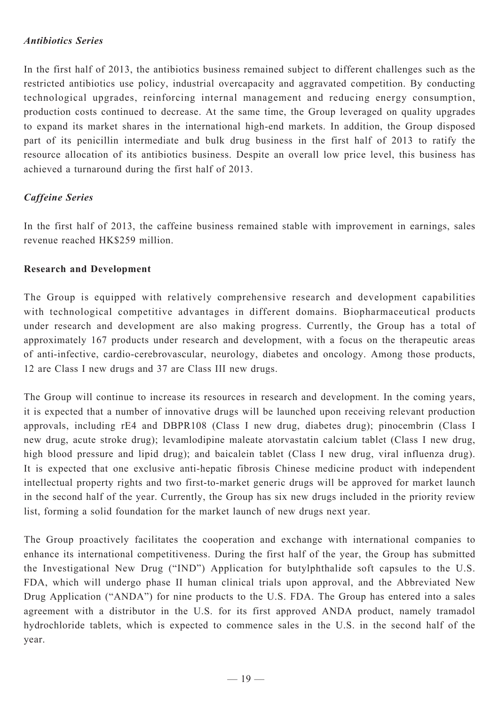# *Antibiotics Series*

In the first half of 2013, the antibiotics business remained subject to different challenges such as the restricted antibiotics use policy, industrial overcapacity and aggravated competition. By conducting technological upgrades, reinforcing internal management and reducing energy consumption, production costs continued to decrease. At the same time, the Group leveraged on quality upgrades to expand its market shares in the international high-end markets. In addition, the Group disposed part of its penicillin intermediate and bulk drug business in the first half of 2013 to ratify the resource allocation of its antibiotics business. Despite an overall low price level, this business has achieved a turnaround during the first half of 2013.

# *Caffeine Series*

In the first half of 2013, the caffeine business remained stable with improvement in earnings, sales revenue reached HK\$259 million.

# **Research and Development**

The Group is equipped with relatively comprehensive research and development capabilities with technological competitive advantages in different domains. Biopharmaceutical products under research and development are also making progress. Currently, the Group has a total of approximately 167 products under research and development, with a focus on the therapeutic areas of anti-infective, cardio-cerebrovascular, neurology, diabetes and oncology. Among those products, 12 are Class I new drugs and 37 are Class III new drugs.

The Group will continue to increase its resources in research and development. In the coming years, it is expected that a number of innovative drugs will be launched upon receiving relevant production approvals, including rE4 and DBPR108 (Class I new drug, diabetes drug); pinocembrin (Class I new drug, acute stroke drug); levamlodipine maleate atorvastatin calcium tablet (Class I new drug, high blood pressure and lipid drug); and baicalein tablet (Class I new drug, viral influenza drug). It is expected that one exclusive anti-hepatic fibrosis Chinese medicine product with independent intellectual property rights and two first-to-market generic drugs will be approved for market launch in the second half of the year. Currently, the Group has six new drugs included in the priority review list, forming a solid foundation for the market launch of new drugs next year.

The Group proactively facilitates the cooperation and exchange with international companies to enhance its international competitiveness. During the first half of the year, the Group has submitted the Investigational New Drug ("IND") Application for butylphthalide soft capsules to the U.S. FDA, which will undergo phase II human clinical trials upon approval, and the Abbreviated New Drug Application ("ANDA") for nine products to the U.S. FDA. The Group has entered into a sales agreement with a distributor in the U.S. for its first approved ANDA product, namely tramadol hydrochloride tablets, which is expected to commence sales in the U.S. in the second half of the year.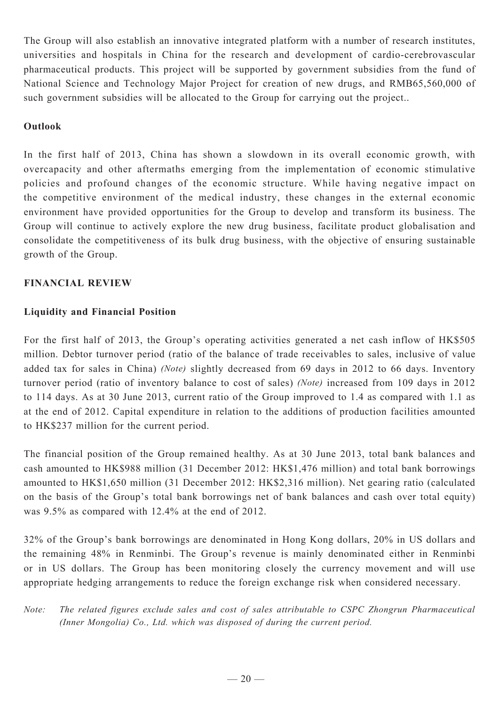The Group will also establish an innovative integrated platform with a number of research institutes, universities and hospitals in China for the research and development of cardio-cerebrovascular pharmaceutical products. This project will be supported by government subsidies from the fund of National Science and Technology Major Project for creation of new drugs, and RMB65,560,000 of such government subsidies will be allocated to the Group for carrying out the project..

# **Outlook**

In the first half of 2013, China has shown a slowdown in its overall economic growth, with overcapacity and other aftermaths emerging from the implementation of economic stimulative policies and profound changes of the economic structure. While having negative impact on the competitive environment of the medical industry, these changes in the external economic environment have provided opportunities for the Group to develop and transform its business. The Group will continue to actively explore the new drug business, facilitate product globalisation and consolidate the competitiveness of its bulk drug business, with the objective of ensuring sustainable growth of the Group.

# **Financial Review**

# **Liquidity and Financial Position**

For the first half of 2013, the Group's operating activities generated a net cash inflow of HK\$505 million. Debtor turnover period (ratio of the balance of trade receivables to sales, inclusive of value added tax for sales in China) *(Note)* slightly decreased from 69 days in 2012 to 66 days. Inventory turnover period (ratio of inventory balance to cost of sales) *(Note)* increased from 109 days in 2012 to 114 days. As at 30 June 2013, current ratio of the Group improved to 1.4 as compared with 1.1 as at the end of 2012. Capital expenditure in relation to the additions of production facilities amounted to HK\$237 million for the current period.

The financial position of the Group remained healthy. As at 30 June 2013, total bank balances and cash amounted to HK\$988 million (31 December 2012: HK\$1,476 million) and total bank borrowings amounted to HK\$1,650 million (31 December 2012: HK\$2,316 million). Net gearing ratio (calculated on the basis of the Group's total bank borrowings net of bank balances and cash over total equity) was 9.5% as compared with 12.4% at the end of 2012.

32% of the Group's bank borrowings are denominated in Hong Kong dollars, 20% in US dollars and the remaining 48% in Renminbi. The Group's revenue is mainly denominated either in Renminbi or in US dollars. The Group has been monitoring closely the currency movement and will use appropriate hedging arrangements to reduce the foreign exchange risk when considered necessary.

*Note: The related figures exclude sales and cost of sales attributable to CSPC Zhongrun Pharmaceutical (Inner Mongolia) Co., Ltd. which was disposed of during the current period.*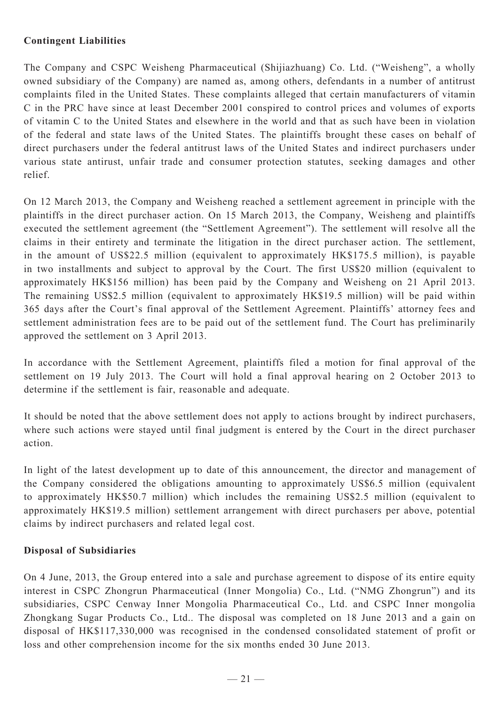# **Contingent Liabilities**

The Company and CSPC Weisheng Pharmaceutical (Shijiazhuang) Co. Ltd. ("Weisheng", a wholly owned subsidiary of the Company) are named as, among others, defendants in a number of antitrust complaints filed in the United States. These complaints alleged that certain manufacturers of vitamin C in the PRC have since at least December 2001 conspired to control prices and volumes of exports of vitamin C to the United States and elsewhere in the world and that as such have been in violation of the federal and state laws of the United States. The plaintiffs brought these cases on behalf of direct purchasers under the federal antitrust laws of the United States and indirect purchasers under various state antirust, unfair trade and consumer protection statutes, seeking damages and other relief.

On 12 March 2013, the Company and Weisheng reached a settlement agreement in principle with the plaintiffs in the direct purchaser action. On 15 March 2013, the Company, Weisheng and plaintiffs executed the settlement agreement (the "Settlement Agreement"). The settlement will resolve all the claims in their entirety and terminate the litigation in the direct purchaser action. The settlement, in the amount of US\$22.5 million (equivalent to approximately HK\$175.5 million), is payable in two installments and subject to approval by the Court. The first US\$20 million (equivalent to approximately HK\$156 million) has been paid by the Company and Weisheng on 21 April 2013. The remaining US\$2.5 million (equivalent to approximately HK\$19.5 million) will be paid within 365 days after the Court's final approval of the Settlement Agreement. Plaintiffs' attorney fees and settlement administration fees are to be paid out of the settlement fund. The Court has preliminarily approved the settlement on 3 April 2013.

In accordance with the Settlement Agreement, plaintiffs filed a motion for final approval of the settlement on 19 July 2013. The Court will hold a final approval hearing on 2 October 2013 to determine if the settlement is fair, reasonable and adequate.

It should be noted that the above settlement does not apply to actions brought by indirect purchasers, where such actions were stayed until final judgment is entered by the Court in the direct purchaser action.

In light of the latest development up to date of this announcement, the director and management of the Company considered the obligations amounting to approximately US\$6.5 million (equivalent to approximately HK\$50.7 million) which includes the remaining US\$2.5 million (equivalent to approximately HK\$19.5 million) settlement arrangement with direct purchasers per above, potential claims by indirect purchasers and related legal cost.

# **Disposal of Subsidiaries**

On 4 June, 2013, the Group entered into a sale and purchase agreement to dispose of its entire equity interest in CSPC Zhongrun Pharmaceutical (Inner Mongolia) Co., Ltd. ("NMG Zhongrun") and its subsidiaries, CSPC Cenway Inner Mongolia Pharmaceutical Co., Ltd. and CSPC Inner mongolia Zhongkang Sugar Products Co., Ltd.. The disposal was completed on 18 June 2013 and a gain on disposal of HK\$117,330,000 was recognised in the condensed consolidated statement of profit or loss and other comprehension income for the six months ended 30 June 2013.